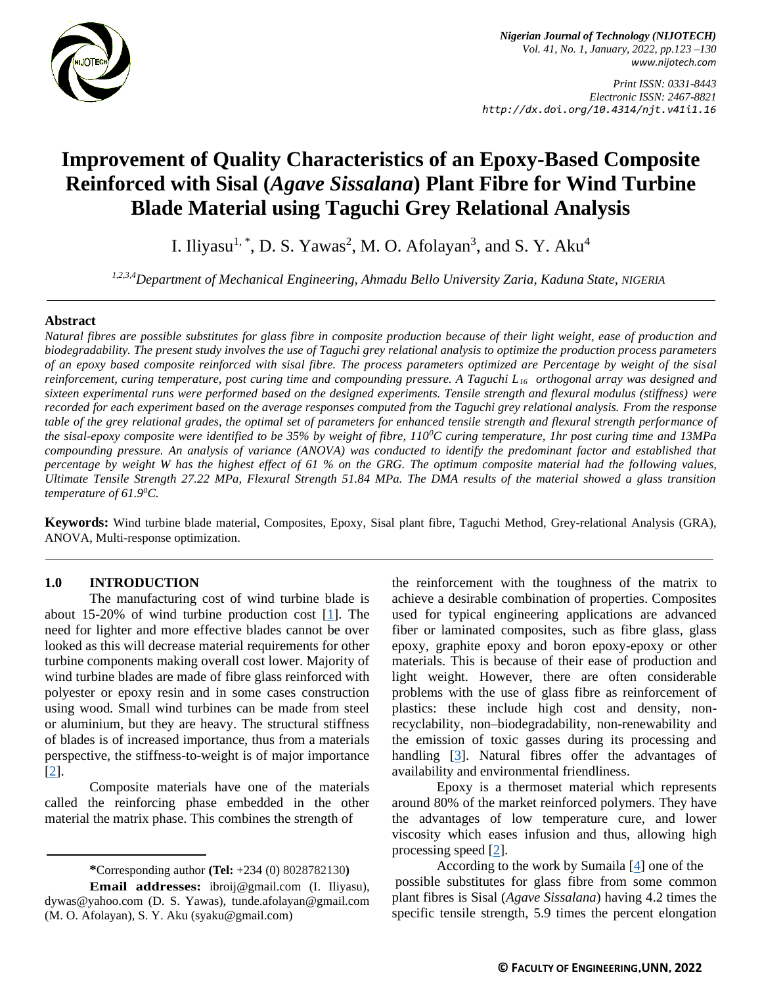

*Nigerian Journal of Technology (NIJOTECH) Vol. 41, No. 1, January, 2022, pp.123 –130 [www.nijotech.com](http://www.nijotech.com/)*

*Print ISSN: 0331-8443 Electronic ISSN: 2467-8821 http://dx.doi.org/10.4314/njt.v41i1.16*

# **Improvement of Quality Characteristics of an Epoxy-Based Composite Reinforced with Sisal (***Agave Sissalana***) Plant Fibre for Wind Turbine Blade Material using Taguchi Grey Relational Analysis**

I. Iliyasu<sup>1, \*</sup>, D. S. Yawas<sup>2</sup>, M. O. Afolayan<sup>3</sup>, and S. Y. Aku<sup>4</sup>

*1,2,3,4Department of Mechanical Engineering, Ahmadu Bello University Zaria, Kaduna State, NIGERIA*

## **Abstract**

*Natural fibres are possible substitutes for glass fibre in composite production because of their light weight, ease of production and biodegradability. The present study involves the use of Taguchi grey relational analysis to optimize the production process parameters of an epoxy based composite reinforced with sisal fibre. The process parameters optimized are Percentage by weight of the sisal reinforcement, curing temperature, post curing time and compounding pressure. A Taguchi L16 orthogonal array was designed and sixteen experimental runs were performed based on the designed experiments. Tensile strength and flexural modulus (stiffness) were recorded for each experiment based on the average responses computed from the Taguchi grey relational analysis. From the response table of the grey relational grades, the optimal set of parameters for enhanced tensile strength and flexural strength performance of the sisal-epoxy composite were identified to be 35% by weight of fibre, 110<sup>0</sup>C curing temperature, 1hr post curing time and 13MPa compounding pressure. An analysis of variance (ANOVA) was conducted to identify the predominant factor and established that percentage by weight W has the highest effect of 61 % on the GRG. The optimum composite material had the following values, Ultimate Tensile Strength 27.22 MPa, Flexural Strength 51.84 MPa. The DMA results of the material showed a glass transition temperature of 61.9<sup>0</sup>C.*

**Keywords:** Wind turbine blade material, Composites, Epoxy, Sisal plant fibre, Taguchi Method, Grey-relational Analysis (GRA), ANOVA, Multi-response optimization.

## **1.0 INTRODUCTION**

The manufacturing cost of wind turbine blade is about 15-20% of wind turbine production cost  $[1]$ . The need for lighter and more effective blades cannot be over looked as this will decrease material requirements for other turbine components making overall cost lower. Majority of wind turbine blades are made of fibre glass reinforced with polyester or epoxy resin and in some cases construction using wood. Small wind turbines can be made from steel or aluminium, but they are heavy. The structural stiffness of blades is of increased importance, thus from a materials perspective, the stiffness-to-weight is of major importance [\[2\]](#page-7-1).

Composite materials have one of the materials called the reinforcing phase embedded in the other material the matrix phase. This combines the strength of

the reinforcement with the toughness of the matrix to achieve a desirable combination of properties. Composites used for typical engineering applications are advanced fiber or laminated composites, such as fibre glass, glass epoxy, graphite epoxy and boron epoxy-epoxy or other materials. This is because of their ease of production and light weight. However, there are often considerable problems with the use of glass fibre as reinforcement of plastics: these include high cost and density, nonrecyclability, non–biodegradability, non-renewability and the emission of toxic gasses during its processing and handling [\[3\]](#page-7-2). Natural fibres offer the advantages of availability and environmental friendliness.

Epoxy is a thermoset material which represents around 80% of the market reinforced polymers. They have the advantages of low temperature cure, and lower viscosity which eases infusion and thus, allowing high processing speed [\[2\]](#page-7-1).

According to the work by Sumaila  $[4]$  one of the possible substitutes for glass fibre from some common plant fibres is Sisal (*Agave Sissalana*) having 4.2 times the specific tensile strength, 5.9 times the percent elongation

**<sup>\*</sup>**Corresponding author **[\(Te](mailto:samnnaemeka.ugwu@unn.edu.ng)l:** +234 (0) 8028782130**)**

**Email addresses:** [ibroij@gmail.com](mailto:ibroij@gmail.com) (I. Iliyasu), [dywas@yahoo.com](mailto:dywas@yahoo.com) (D. S. Yawas), [tunde.afolayan@gmail.com](mailto:tunde.afolayan@gmail.com) (M. O. Afolayan), S. Y. Aku [\(syaku@gmail.com\)](mailto:syaku@gmail.com)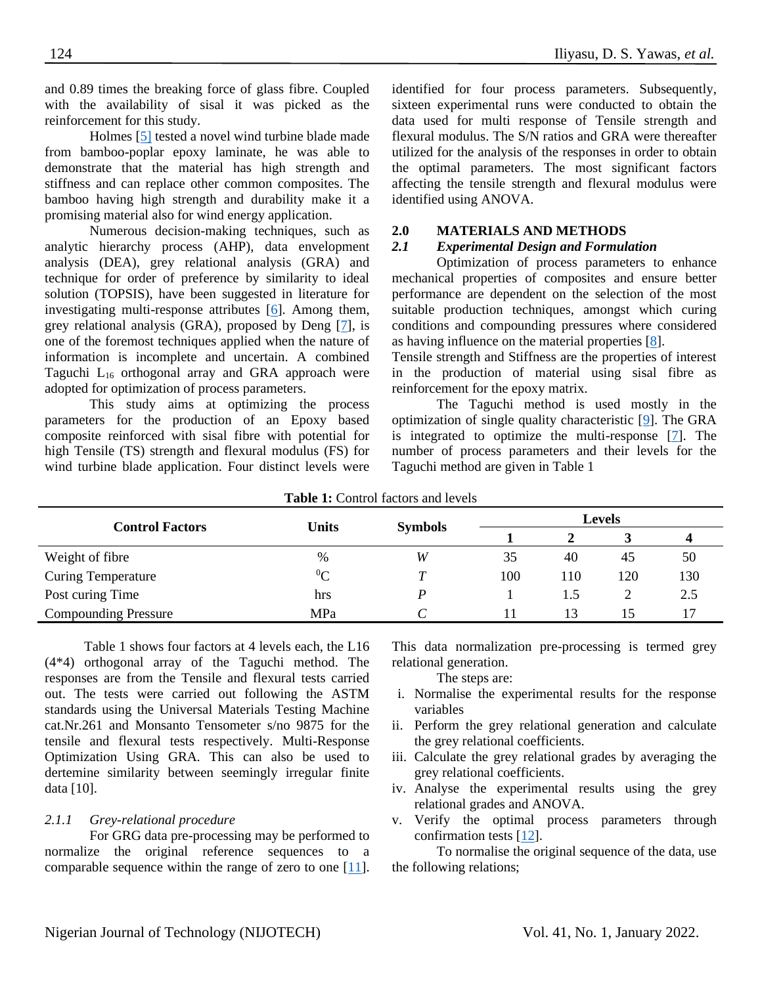and 0.89 times the breaking force of glass fibre. Coupled with the availability of sisal it was picked as the reinforcement for this study.

Holmes [\[5\]](#page-7-4) tested a novel wind turbine blade made from bamboo-poplar epoxy laminate, he was able to demonstrate that the material has high strength and stiffness and can replace other common composites. The bamboo having high strength and durability make it a promising material also for wind energy application.

Numerous decision-making techniques, such as analytic hierarchy process (AHP), data envelopment analysis (DEA), grey relational analysis (GRA) and technique for order of preference by similarity to ideal solution (TOPSIS), have been suggested in literature for investigating multi-response attributes [\[6\]](#page-7-5). Among them, grey relational analysis (GRA), proposed by Deng [\[7\]](#page-7-6), is one of the foremost techniques applied when the nature of information is incomplete and uncertain. A combined Taguchi  $L_{16}$  orthogonal array and GRA approach were adopted for optimization of process parameters.

This study aims at optimizing the process parameters for the production of an Epoxy based composite reinforced with sisal fibre with potential for high Tensile (TS) strength and flexural modulus (FS) for wind turbine blade application. Four distinct levels were

identified for four process parameters. Subsequently, sixteen experimental runs were conducted to obtain the data used for multi response of Tensile strength and flexural modulus. The S/N ratios and GRA were thereafter utilized for the analysis of the responses in order to obtain the optimal parameters. The most significant factors affecting the tensile strength and flexural modulus were identified using ANOVA.

## **2.0 MATERIALS AND METHODS**

# *2.1 Experimental Design and Formulation*

Optimization of process parameters to enhance mechanical properties of composites and ensure better performance are dependent on the selection of the most suitable production techniques, amongst which curing conditions and compounding pressures where considered as having influence on the material properties [\[8\]](#page-7-7).

Tensile strength and Stiffness are the properties of interest in the production of material using sisal fibre as reinforcement for the epoxy matrix.

The Taguchi method is used mostly in the optimization of single quality characteristic [\[9\]](#page-7-8). The GRA is integrated to optimize the multi-response [\[7\]](#page-7-6). The number of process parameters and their levels for the Taguchi method are given in Table 1

| <b>Table 1.</b> Control factors and levels |              |                |               |     |     |     |  |  |
|--------------------------------------------|--------------|----------------|---------------|-----|-----|-----|--|--|
| <b>Control Factors</b>                     | <b>Units</b> |                | <b>Levels</b> |     |     |     |  |  |
|                                            |              | <b>Symbols</b> |               |     |     |     |  |  |
| Weight of fibre                            | %            | W              | 35            | 40  | 45  | 50  |  |  |
| <b>Curing Temperature</b>                  | ${}^{0}C$    |                | 100           | 110 | 120 | 130 |  |  |
| Post curing Time                           | hrs          |                |               | 1.5 |     | 2.5 |  |  |
| <b>Compounding Pressure</b>                | MPa          |                |               | 13  |     |     |  |  |

**Table 1:** Control factors and levels

Table 1 shows four factors at 4 levels each, the L16 (4\*4) orthogonal array of the Taguchi method. The responses are from the Tensile and flexural tests carried out. The tests were carried out following the ASTM standards using the Universal Materials Testing Machine cat.Nr.261 and Monsanto Tensometer s/no 9875 for the tensile and flexural tests respectively. Multi-Response Optimization Using GRA. This can also be used to dertemine similarity between seemingly irregular finite data [10].

# *2.1.1 Grey-relational procedure*

For GRG data pre-processing may be performed to normalize the original reference sequences to a comparable sequence within the range of zero to one [\[11\]](#page-7-9). This data normalization pre-processing is termed grey relational generation.

The steps are:

- i. Normalise the experimental results for the response variables
- ii. Perform the grey relational generation and calculate the grey relational coefficients.
- iii. Calculate the grey relational grades by averaging the grey relational coefficients.
- iv. Analyse the experimental results using the grey relational grades and ANOVA.
- v. Verify the optimal process parameters through confirmation tests [\[12\]](#page-7-10).

To normalise the original sequence of the data, use the following relations;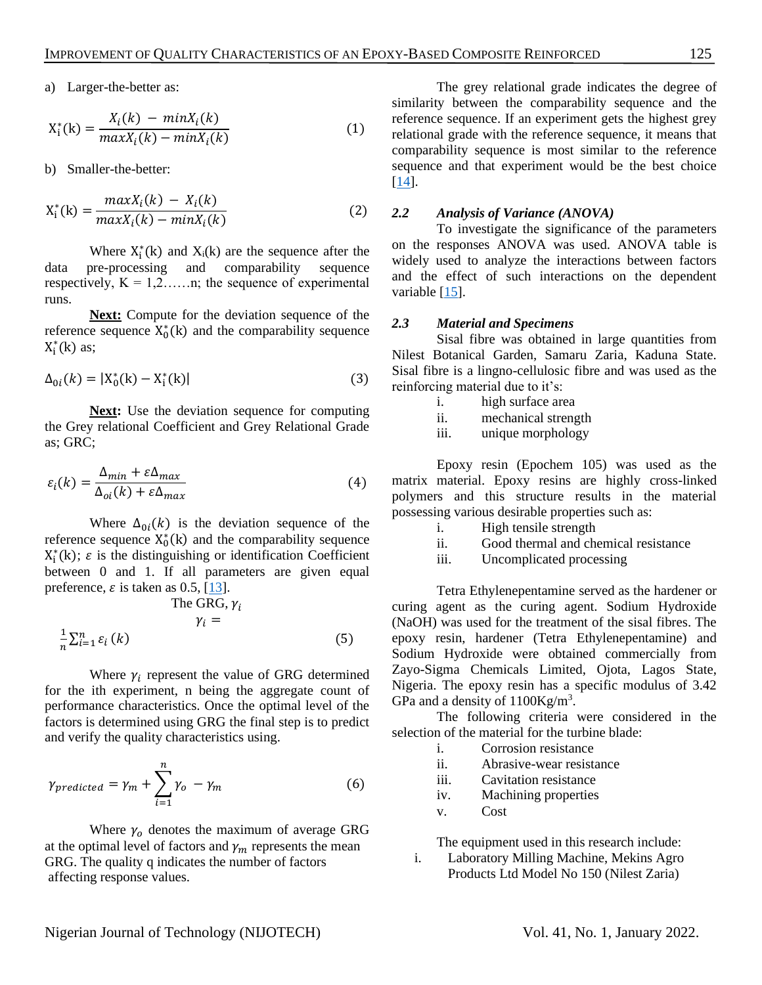a) Larger-the-better as:

$$
X_{i}^{*}(k) = \frac{X_{i}(k) - \min X_{i}(k)}{\max X_{i}(k) - \min X_{i}(k)}
$$
(1)

b) Smaller-the-better:

$$
X_{i}^{*}(k) = \frac{maxX_{i}(k) - X_{i}(k)}{maxX_{i}(k) - minX_{i}(k)}
$$
(2)

Where  $X_i^*(k)$  and  $X_i(k)$  are the sequence after the data pre-processing and comparability sequence respectively,  $K = 1, 2, \ldots, n$ ; the sequence of experimental runs.

**Next:** Compute for the deviation sequence of the reference sequence  $X_0^*(k)$  and the comparability sequence  $X_i^*(k)$  as;

$$
\Delta_{0i}(k) = |X_0^*(k) - X_1^*(k)|
$$
\n(3)

**Next:** Use the deviation sequence for computing the Grey relational Coefficient and Grey Relational Grade as; GRC;

$$
\varepsilon_i(k) = \frac{\Delta_{min} + \varepsilon \Delta_{max}}{\Delta_{oi}(k) + \varepsilon \Delta_{max}} \tag{4}
$$

Where  $\Delta_{0i}(k)$  is the deviation sequence of the reference sequence  $X_0^*(k)$  and the comparability sequence  $X_i^*(k)$ ;  $\varepsilon$  is the distinguishing or identification Coefficient between 0 and 1. If all parameters are given equal preference,  $\varepsilon$  is taken as 0.5, [\[13\]](#page-7-11).

The GRG, 
$$
\gamma_i
$$
  
\n
$$
\gamma_i =
$$
\n
$$
\frac{1}{n} \sum_{i=1}^{n} \varepsilon_i(k)
$$
\n(5)

Where  $\gamma_i$  represent the value of GRG determined for the ith experiment, n being the aggregate count of performance characteristics. Once the optimal level of the factors is determined using GRG the final step is to predict and verify the quality characteristics using.

$$
\gamma_{predicted} = \gamma_m + \sum_{i=1}^{n} \gamma_o - \gamma_m \tag{6}
$$

Where  $\gamma_0$  denotes the maximum of average GRG at the optimal level of factors and  $\gamma_m$  represents the mean GRG. The quality q indicates the number of factors affecting response values.

The grey relational grade indicates the degree of similarity between the comparability sequence and the reference sequence. If an experiment gets the highest grey relational grade with the reference sequence, it means that comparability sequence is most similar to the reference sequence and that experiment would be the best choice [\[14\]](#page-7-12).

#### *2.2 Analysis of Variance (ANOVA)*

To investigate the significance of the parameters on the responses ANOVA was used. ANOVA table is widely used to analyze the interactions between factors and the effect of such interactions on the dependent variable [\[15\]](#page-7-13).

#### *2.3 Material and Specimens*

Sisal fibre was obtained in large quantities from Nilest Botanical Garden, Samaru Zaria, Kaduna State. Sisal fibre is a lingno-cellulosic fibre and was used as the reinforcing material due to it's:

- i. high surface area
- ii. mechanical strength
- iii. unique morphology

Epoxy resin (Epochem 105) was used as the matrix material. Epoxy resins are highly cross-linked polymers and this structure results in the material possessing various desirable properties such as:

- i. High tensile strength
- ii. Good thermal and chemical resistance
- iii. Uncomplicated processing

Tetra Ethylenepentamine served as the hardener or curing agent as the curing agent. Sodium Hydroxide (NaOH) was used for the treatment of the sisal fibres. The epoxy resin, hardener (Tetra Ethylenepentamine) and Sodium Hydroxide were obtained commercially from Zayo-Sigma Chemicals Limited, Ojota, Lagos State, Nigeria. The epoxy resin has a specific modulus of 3.42 GPa and a density of  $1100 \text{Kg/m}^3$ .

The following criteria were considered in the selection of the material for the turbine blade:

- i. Corrosion resistance
- ii. Abrasive-wear resistance
- iii. Cavitation resistance
- iv. Machining properties
- v. Cost

The equipment used in this research include:

i. Laboratory Milling Machine, Mekins Agro Products Ltd Model No 150 (Nilest Zaria)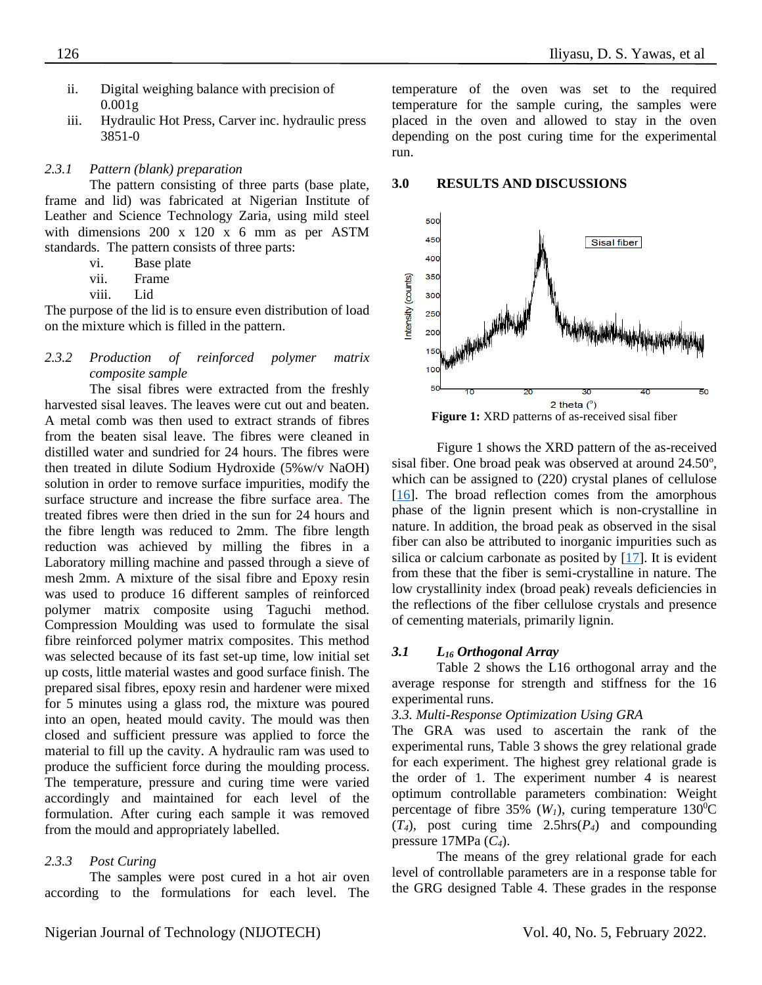- ii. Digital weighing balance with precision of  $0.001g$
- iii. Hydraulic Hot Press, Carver inc. hydraulic press 3851-0

# *2.3.1 Pattern (blank) preparation*

The pattern consisting of three parts (base plate, frame and lid) was fabricated at Nigerian Institute of Leather and Science Technology Zaria, using mild steel with dimensions 200 x 120 x 6 mm as per ASTM standards. The pattern consists of three parts:

- vi. Base plate
- vii. Frame
- viii. Lid

The purpose of the lid is to ensure even distribution of load on the mixture which is filled in the pattern.

# *2.3.2 Production of reinforced polymer matrix composite sample*

The sisal fibres were extracted from the freshly harvested sisal leaves. The leaves were cut out and beaten. A metal comb was then used to extract strands of fibres from the beaten sisal leave. The fibres were cleaned in distilled water and sundried for 24 hours. The fibres were then treated in dilute Sodium Hydroxide (5%w/v NaOH) solution in order to remove surface impurities, modify the surface structure and increase the fibre surface area. The treated fibres were then dried in the sun for 24 hours and the fibre length was reduced to 2mm. The fibre length reduction was achieved by milling the fibres in a Laboratory milling machine and passed through a sieve of mesh 2mm. A mixture of the sisal fibre and Epoxy resin was used to produce 16 different samples of reinforced polymer matrix composite using Taguchi method. Compression Moulding was used to formulate the sisal fibre reinforced polymer matrix composites. This method was selected because of its fast set-up time, low initial set up costs, little material wastes and good surface finish. The prepared sisal fibres, epoxy resin and hardener were mixed for 5 minutes using a glass rod, the mixture was poured into an open, heated mould cavity. The mould was then closed and sufficient pressure was applied to force the material to fill up the cavity. A hydraulic ram was used to produce the sufficient force during the moulding process. The temperature, pressure and curing time were varied accordingly and maintained for each level of the formulation. After curing each sample it was removed from the mould and appropriately labelled.

# *2.3.3 Post Curing*

The samples were post cured in a hot air oven according to the formulations for each level. The temperature of the oven was set to the required temperature for the sample curing, the samples were placed in the oven and allowed to stay in the oven depending on the post curing time for the experimental run.

## **3.0 RESULTS AND DISCUSSIONS**





Figure 1 shows the XRD pattern of the as-received sisal fiber. One broad peak was observed at around 24.50°, which can be assigned to (220) crystal planes of cellulose [\[16\]](#page-7-14). The broad reflection comes from the amorphous phase of the lignin present which is non-crystalline in nature. In addition, the broad peak as observed in the sisal fiber can also be attributed to inorganic impurities such as silica or calcium carbonate as posited by [\[17\]](#page-7-15). It is evident from these that the fiber is semi-crystalline in nature. The low crystallinity index (broad peak) reveals deficiencies in the reflections of the fiber cellulose crystals and presence of cementing materials, primarily lignin.

# *3.1 L<sup>16</sup> Orthogonal Array*

Table 2 shows the L16 orthogonal array and the average response for strength and stiffness for the 16 experimental runs.

# *3.3. Multi-Response Optimization Using GRA*

The GRA was used to ascertain the rank of the experimental runs, Table 3 shows the grey relational grade for each experiment. The highest grey relational grade is the order of 1. The experiment number 4 is nearest optimum controllable parameters combination: Weight percentage of fibre 35% ( $W_I$ ), curing temperature 130<sup>0</sup>C (*T4*), post curing time 2.5hrs(*P4*) and compounding pressure 17MPa (*C4*).

The means of the grey relational grade for each level of controllable parameters are in a response table for the GRG designed Table 4. These grades in the response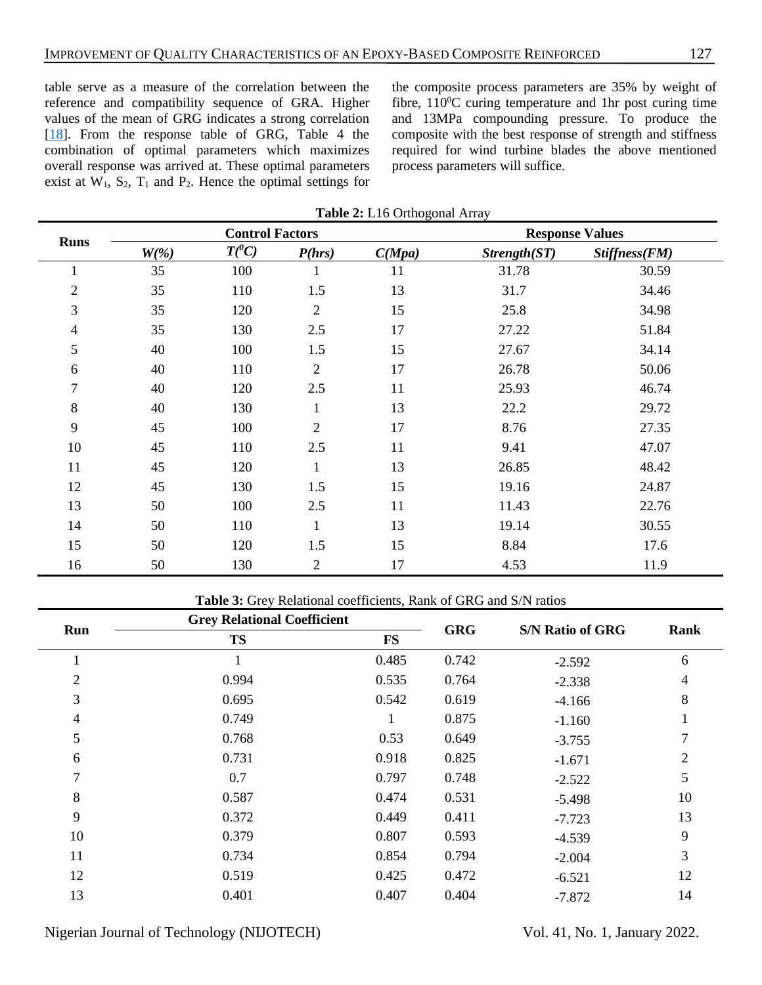table serve as a measure of the correlation between the reference and compatibility sequence of GRA. Higher values of the mean of GRG indicates a strong correlation [\[18\]](#page-7-16). From the response table of GRG, Table 4 the combination of optimal parameters which maximizes overall response was arrived at. These optimal parameters exist at  $W_1$ ,  $S_2$ ,  $T_1$  and  $P_2$ . Hence the optimal settings for

the composite process parameters are 35% by weight of fibre,  $110^{\circ}$ C curing temperature and 1hr post curing time and 13MPa compounding pressure. To produce the composite with the best response of strength and stiffness required for wind turbine blades the above mentioned process parameters will suffice.

| <b>Runs</b>    |         |          | <b>Control Factors</b> |        |                | <b>Response Values</b> |
|----------------|---------|----------|------------------------|--------|----------------|------------------------|
|                | $W(\%)$ | $T(^0C)$ | P(hrs)                 | C(Mpa) | $Strength(ST)$ | Stiffness(FM)          |
| 1              | 35      | 100      | 1                      | 11     | 31.78          | 30.59                  |
| $\mathbf{2}$   | 35      | 110      | 1.5                    | 13     | 31.7           | 34.46                  |
| 3              | 35      | 120      | $\sqrt{2}$             | 15     | 25.8           | 34.98                  |
| $\overline{4}$ | 35      | 130      | 2.5                    | 17     | 27.22          | 51.84                  |
| 5              | 40      | 100      | 1.5                    | 15     | 27.67          | 34.14                  |
| 6              | 40      | 110      | $\overline{2}$         | 17     | 26.78          | 50.06                  |
| $\tau$         | 40      | 120      | 2.5                    | 11     | 25.93          | 46.74                  |
| $8\,$          | 40      | 130      | $\mathbf{1}$           | 13     | 22.2           | 29.72                  |
| 9              | 45      | 100      | $\overline{2}$         | 17     | 8.76           | 27.35                  |
| 10             | 45      | 110      | 2.5                    | 11     | 9.41           | 47.07                  |
| 11             | 45      | 120      | $\mathbf{1}$           | 13     | 26.85          | 48.42                  |
| 12             | 45      | 130      | 1.5                    | 15     | 19.16          | 24.87                  |
| 13             | 50      | 100      | 2.5                    | 11     | 11.43          | 22.76                  |
| 14             | 50      | 110      | $\mathbf{1}$           | 13     | 19.14          | 30.55                  |
| 15             | 50      | 120      | 1.5                    | 15     | 8.84           | 17.6                   |
| 16             | 50      | 130      | $\mathfrak{2}$         | 17     | 4.53           | 11.9                   |

**Table 2:** L16 Orthogonal Array

**Table 3:** Grey Relational coefficients, Rank of GRG and S/N ratios

|                | <b>Grey Relational Coefficient</b> |           | <b>GRG</b> | <b>S/N Ratio of GRG</b> |      |  |
|----------------|------------------------------------|-----------|------------|-------------------------|------|--|
| Run            | <b>TS</b>                          | <b>FS</b> |            |                         | Rank |  |
|                |                                    | 0.485     | 0.742      | $-2.592$                | 6    |  |
| $\overline{2}$ | 0.994                              | 0.535     | 0.764      | $-2.338$                | 4    |  |
| 3              | 0.695                              | 0.542     | 0.619      | $-4.166$                | 8    |  |
| $\overline{4}$ | 0.749                              |           | 0.875      | $-1.160$                |      |  |
| 5              | 0.768                              | 0.53      | 0.649      | $-3.755$                |      |  |
| 6              | 0.731                              | 0.918     | 0.825      | $-1.671$                | 2    |  |
| 7              | 0.7                                | 0.797     | 0.748      | $-2.522$                | 5    |  |
| 8              | 0.587                              | 0.474     | 0.531      | $-5.498$                | 10   |  |
| 9              | 0.372                              | 0.449     | 0.411      | $-7.723$                | 13   |  |
| 10             | 0.379                              | 0.807     | 0.593      | $-4.539$                | 9    |  |
| 11             | 0.734                              | 0.854     | 0.794      | $-2.004$                | 3    |  |
| 12             | 0.519                              | 0.425     | 0.472      | $-6.521$                | 12   |  |
| 13             | 0.401                              | 0.407     | 0.404      | $-7.872$                | 14   |  |

Nigerian Journal of Technology (NIJOTECH) Vol. 41, No. 1, January 2022.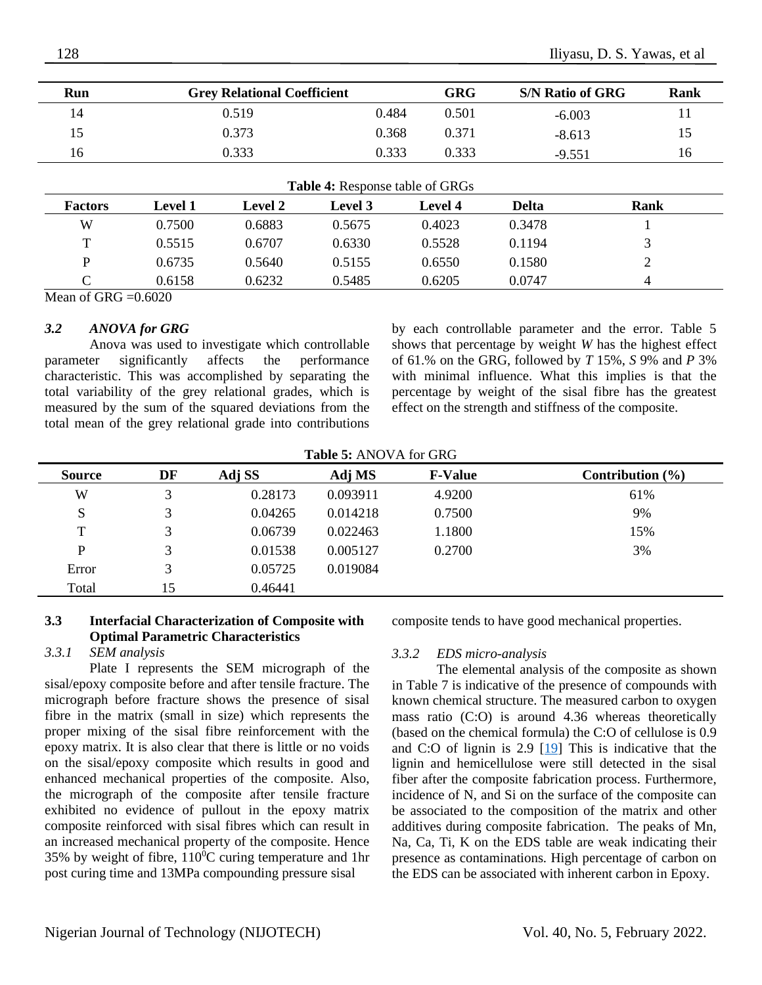| Run | <b>Grey Relational Coefficient</b> |       | GRG   | <b>S/N Ratio of GRG</b> | Rank |
|-----|------------------------------------|-------|-------|-------------------------|------|
| 14  | 0.519                              | 0.484 | 0.501 | $-6.003$                |      |
| 15  | 0.373                              | 0.368 | 0.371 | $-8.613$                |      |
| 16  | 0.333                              | 0.333 | 0.333 | $-9.551$                |      |

| <b>Table 4:</b> Response table of GRGs |                |                |                |                |        |             |
|----------------------------------------|----------------|----------------|----------------|----------------|--------|-------------|
| <b>Factors</b>                         | <b>Level 1</b> | <b>Level 2</b> | <b>Level 3</b> | <b>Level 4</b> | Delta  | <b>Rank</b> |
| W                                      | 0.7500         | 0.6883         | 0.5675         | 0.4023         | 0.3478 |             |
| т                                      | 0.5515         | 0.6707         | 0.6330         | 0.5528         | 0.1194 | $\bigcap$   |
| D                                      | 0.6735         | 0.5640         | 0.5155         | 0.6550         | 0.1580 | ി           |
|                                        | 0.6158         | 0.6232         | 0.5485         | 0.6205         | 0.0747 | 4           |

Mean of GRG  $=0.6020$ 

#### *3.2 ANOVA for GRG*

Anova was used to investigate which controllable parameter significantly affects the performance characteristic. This was accomplished by separating the total variability of the grey relational grades, which is measured by the sum of the squared deviations from the total mean of the grey relational grade into contributions by each controllable parameter and the error. Table 5 shows that percentage by weight *W* has the highest effect of 61.% on the GRG, followed by *T* 15%, *S* 9% and *P* 3% with minimal influence. What this implies is that the percentage by weight of the sisal fibre has the greatest effect on the strength and stiffness of the composite.

**Table 5:** ANOVA for GRG

| <b>Source</b> | DF | Adj SS  | Adj MS   | <b>F-Value</b> | Contribution $(\% )$ |
|---------------|----|---------|----------|----------------|----------------------|
| W             |    | 0.28173 | 0.093911 | 4.9200         | 61%                  |
| S             | 3  | 0.04265 | 0.014218 | 0.7500         | 9%                   |
| T             |    | 0.06739 | 0.022463 | 1.1800         | 15%                  |
| P             |    | 0.01538 | 0.005127 | 0.2700         | 3%                   |
| Error         |    | 0.05725 | 0.019084 |                |                      |
| Total         | 15 | 0.46441 |          |                |                      |

## **3.3 Interfacial Characterization of Composite with Optimal Parametric Characteristics**

#### *3.3.1 SEM analysis*

Plate I represents the SEM micrograph of the sisal/epoxy composite before and after tensile fracture. The micrograph before fracture shows the presence of sisal fibre in the matrix (small in size) which represents the proper mixing of the sisal fibre reinforcement with the epoxy matrix. It is also clear that there is little or no voids on the sisal/epoxy composite which results in good and enhanced mechanical properties of the composite. Also, the micrograph of the composite after tensile fracture exhibited no evidence of pullout in the epoxy matrix composite reinforced with sisal fibres which can result in an increased mechanical property of the composite. Hence 35% by weight of fibre,  $110^{\circ}$ C curing temperature and 1hr post curing time and 13MPa compounding pressure sisal

composite tends to have good mechanical properties.

#### *3.3.2 EDS micro-analysis*

The elemental analysis of the composite as shown in Table 7 is indicative of the presence of compounds with known chemical structure. The measured carbon to oxygen mass ratio (C:O) is around 4.36 whereas theoretically (based on the chemical formula) the C:O of cellulose is 0.9 and C:O of lignin is 2.9 [\[19\]](#page-7-17) This is indicative that the lignin and hemicellulose were still detected in the sisal fiber after the composite fabrication process. Furthermore, incidence of N, and Si on the surface of the composite can be associated to the composition of the matrix and other additives during composite fabrication. The peaks of Mn, Na, Ca, Ti, K on the EDS table are weak indicating their presence as contaminations. High percentage of carbon on the EDS can be associated with inherent carbon in Epoxy.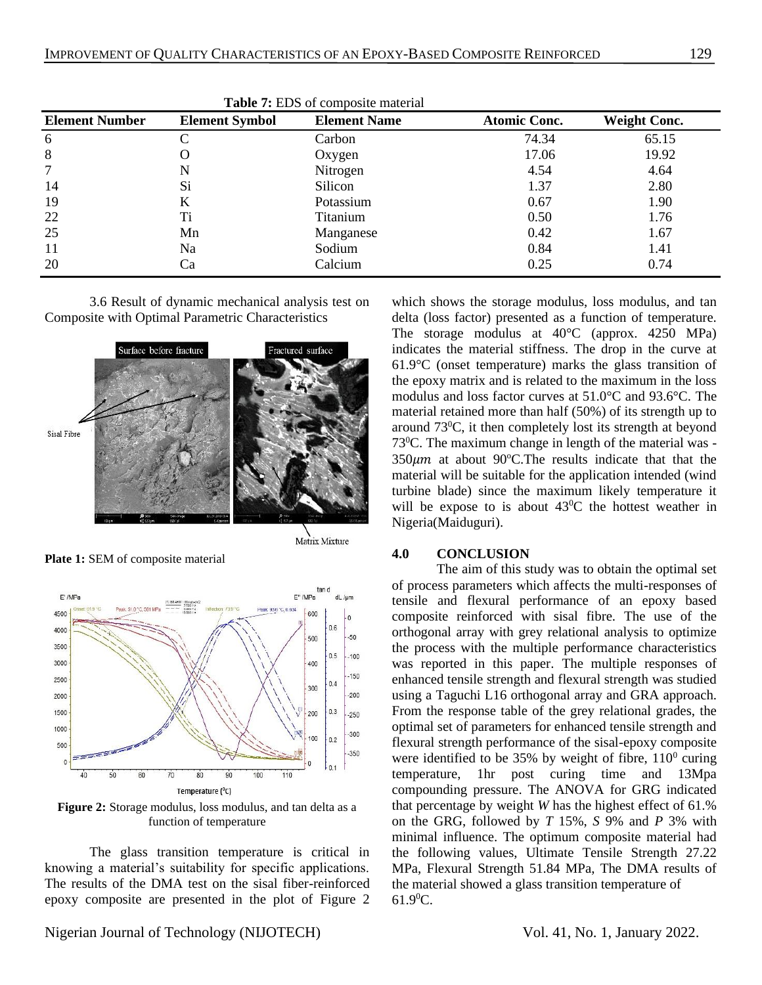| <b>Element Number</b> | <b>Element Symbol</b> | <b>Element Name</b> | <b>Atomic Conc.</b> | <b>Weight Conc.</b> |
|-----------------------|-----------------------|---------------------|---------------------|---------------------|
| 6                     |                       | Carbon              | 74.34               | 65.15               |
| 8                     |                       | Oxygen              | 17.06               | 19.92               |
| 7                     |                       | Nitrogen            | 4.54                | 4.64                |
| 14                    | Si.                   | Silicon             | 1.37                | 2.80                |
| 19                    | K                     | Potassium           | 0.67                | 1.90                |
| 22                    | Ti                    | Titanium            | 0.50                | 1.76                |
| 25                    | Mn                    | Manganese           | 0.42                | 1.67                |
| 11                    | Na                    | Sodium              | 0.84                | 1.41                |
| 20                    | Сa                    | Calcium             | 0.25                | 0.74                |

**Table 7:** EDS of composite material

3.6 Result of dynamic mechanical analysis test on Composite with Optimal Parametric Characteristics



**Plate 1:** SEM of composite material



**Figure 2:** Storage modulus, loss modulus, and tan delta as a function of temperature

The glass transition temperature is critical in knowing a material's suitability for specific applications. The results of the DMA test on the sisal fiber-reinforced epoxy composite are presented in the plot of Figure 2 which shows the storage modulus, loss modulus, and tan delta (loss factor) presented as a function of temperature. The storage modulus at 40°C (approx. 4250 MPa) indicates the material stiffness. The drop in the curve at 61.9°C (onset temperature) marks the glass transition of the epoxy matrix and is related to the maximum in the loss modulus and loss factor curves at 51.0°C and 93.6°C. The material retained more than half (50%) of its strength up to around 73<sup>0</sup>C, it then completely lost its strength at beyond 73<sup>0</sup>C. The maximum change in length of the material was -  $350 \mu m$  at about 90°C. The results indicate that that the material will be suitable for the application intended (wind turbine blade) since the maximum likely temperature it will be expose to is about  $43^{\circ}$ C the hottest weather in Nigeria(Maiduguri).

#### **4.0 CONCLUSION**

The aim of this study was to obtain the optimal set of process parameters which affects the multi-responses of tensile and flexural performance of an epoxy based composite reinforced with sisal fibre. The use of the orthogonal array with grey relational analysis to optimize the process with the multiple performance characteristics was reported in this paper. The multiple responses of enhanced tensile strength and flexural strength was studied using a Taguchi L16 orthogonal array and GRA approach. From the response table of the grey relational grades, the optimal set of parameters for enhanced tensile strength and flexural strength performance of the sisal-epoxy composite were identified to be  $35\%$  by weight of fibre,  $110^0$  curing temperature, 1hr post curing time and 13Mpa compounding pressure. The ANOVA for GRG indicated that percentage by weight *W* has the highest effect of 61.% on the GRG, followed by *T* 15%, *S* 9% and *P* 3% with minimal influence. The optimum composite material had the following values, Ultimate Tensile Strength 27.22 MPa, Flexural Strength 51.84 MPa, The DMA results of the material showed a glass transition temperature of 61.90C.